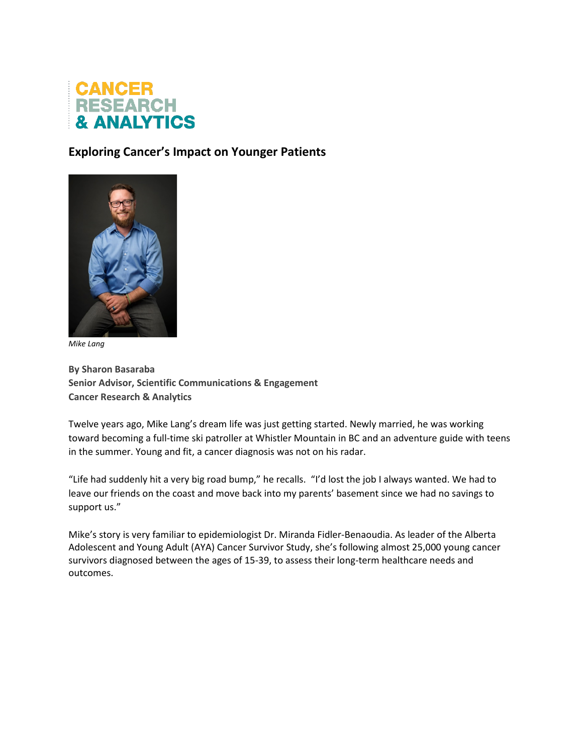

## **Exploring Cancer's Impact on Younger Patients**



*Mike Lang*

**By Sharon Basaraba Senior Advisor, Scientific Communications & Engagement Cancer Research & Analytics**

Twelve years ago, Mike Lang's dream life was just getting started. Newly married, he was working toward becoming a full-time ski patroller at Whistler Mountain in BC and an adventure guide with teens in the summer. Young and fit, a cancer diagnosis was not on his radar.

"Life had suddenly hit a very big road bump," he recalls. "I'd lost the job I always wanted. We had to leave our friends on the coast and move back into my parents' basement since we had no savings to support us."

Mike's story is very familiar to epidemiologist Dr. Miranda Fidler-Benaoudia. As leader of the Alberta Adolescent and Young Adult (AYA) Cancer Survivor Study, she's following almost 25,000 young cancer survivors diagnosed between the ages of 15-39, to assess their long-term healthcare needs and outcomes.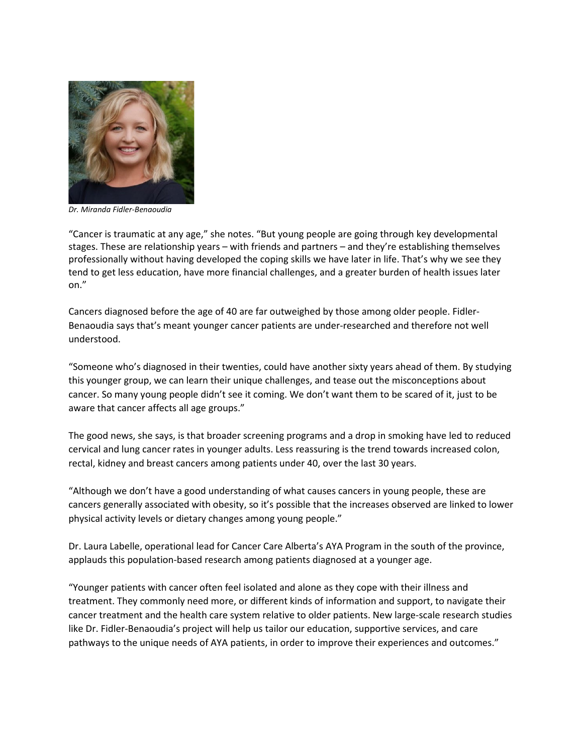

*Dr. Miranda Fidler-Benaoudia*

"Cancer is traumatic at any age," she notes. "But young people are going through key developmental stages. These are relationship years – with friends and partners – and they're establishing themselves professionally without having developed the coping skills we have later in life. That's why we see they tend to get less education, have more financial challenges, and a greater burden of health issues later on."

Cancers diagnosed before the age of 40 are far outweighed by those among older people. Fidler-Benaoudia says that's meant younger cancer patients are under-researched and therefore not well understood.

"Someone who's diagnosed in their twenties, could have another sixty years ahead of them. By studying this younger group, we can learn their unique challenges, and tease out the misconceptions about cancer. So many young people didn't see it coming. We don't want them to be scared of it, just to be aware that cancer affects all age groups."

The good news, she says, is that broader screening programs and a drop in smoking have led to reduced cervical and lung cancer rates in younger adults. Less reassuring is the trend towards increased colon, rectal, kidney and breast cancers among patients under 40, over the last 30 years.

"Although we don't have a good understanding of what causes cancers in young people, these are cancers generally associated with obesity, so it's possible that the increases observed are linked to lower physical activity levels or dietary changes among young people."

Dr. Laura Labelle, operational lead for Cancer Care Alberta's AYA Program in the south of the province, applauds this population-based research among patients diagnosed at a younger age.

"Younger patients with cancer often feel isolated and alone as they cope with their illness and treatment. They commonly need more, or different kinds of information and support, to navigate their cancer treatment and the health care system relative to older patients. New large-scale research studies like Dr. Fidler-Benaoudia's project will help us tailor our education, supportive services, and care pathways to the unique needs of AYA patients, in order to improve their experiences and outcomes."